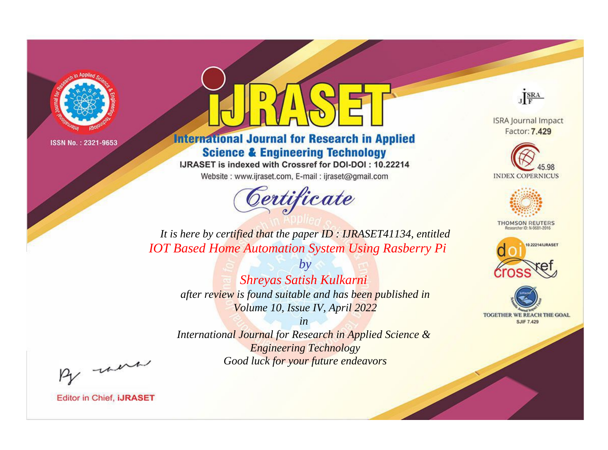

# **International Journal for Research in Applied Science & Engineering Technology**

IJRASET is indexed with Crossref for DOI-DOI: 10.22214

Website: www.ijraset.com, E-mail: ijraset@gmail.com



JERA

**ISRA Journal Impact** Factor: 7.429





**THOMSON REUTERS** 



TOGETHER WE REACH THE GOAL **SJIF 7.429** 

*It is here by certified that the paper ID : IJRASET41134, entitled IOT Based Home Automation System Using Rasberry Pi*

> *Shreyas Satish Kulkarni after review is found suitable and has been published in Volume 10, Issue IV, April 2022*

*by*

*in* 

*International Journal for Research in Applied Science & Engineering Technology Good luck for your future endeavors*

By morn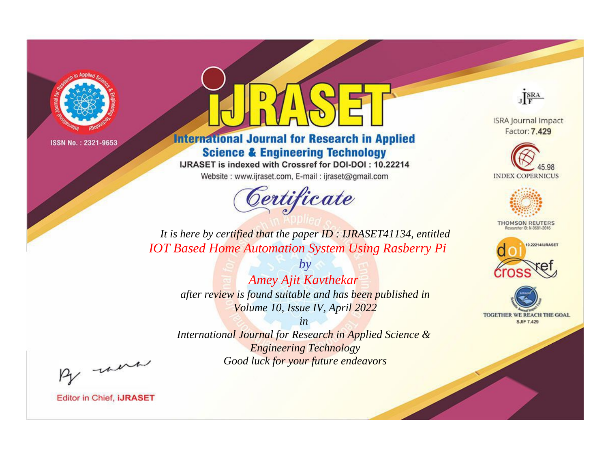

# **International Journal for Research in Applied Science & Engineering Technology**

IJRASET is indexed with Crossref for DOI-DOI: 10.22214

Website: www.ijraset.com, E-mail: ijraset@gmail.com



JERA

**ISRA Journal Impact** Factor: 7.429





**THOMSON REUTERS** 



TOGETHER WE REACH THE GOAL **SJIF 7.429** 

It is here by certified that the paper ID: IJRASET41134, entitled **IOT Based Home Automation System Using Rasberry Pi** 

> **Amey Ajit Kavthekar** after review is found suitable and has been published in Volume 10, Issue IV, April 2022

 $b\nu$ 

 $in$ International Journal for Research in Applied Science & **Engineering Technology** Good luck for your future endeavors

By morn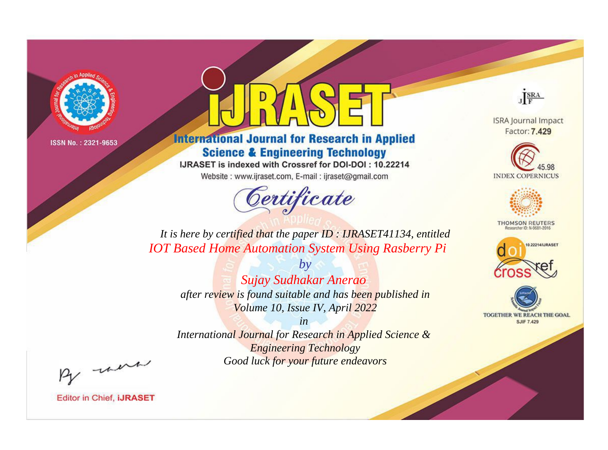

# **International Journal for Research in Applied Science & Engineering Technology**

IJRASET is indexed with Crossref for DOI-DOI: 10.22214

Website: www.ijraset.com, E-mail: ijraset@gmail.com



JERA

**ISRA Journal Impact** Factor: 7.429





**THOMSON REUTERS** 



TOGETHER WE REACH THE GOAL **SJIF 7.429** 

*It is here by certified that the paper ID : IJRASET41134, entitled IOT Based Home Automation System Using Rasberry Pi*

> *Sujay Sudhakar Anerao after review is found suitable and has been published in Volume 10, Issue IV, April 2022*

*by*

*in* 

*International Journal for Research in Applied Science & Engineering Technology Good luck for your future endeavors*

By morn